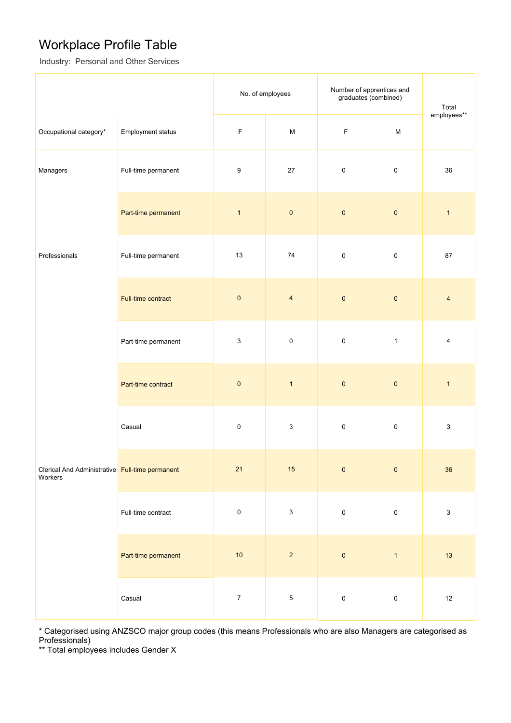### Workplace Profile Table

Industry: Personal and Other Services

|                                                            |                     | No. of employees          |                           | Number of apprentices and<br>graduates (combined) |              | Total                     |
|------------------------------------------------------------|---------------------|---------------------------|---------------------------|---------------------------------------------------|--------------|---------------------------|
| Occupational category*                                     | Employment status   | $\mathsf F$               | M                         | F                                                 | $\mathsf{M}$ | employees**               |
| Managers                                                   | Full-time permanent | 9                         | 27                        | $\pmb{0}$                                         | $\pmb{0}$    | 36                        |
|                                                            | Part-time permanent | $\mathbf{1}$              | $\pmb{0}$                 | $\pmb{0}$                                         | $\pmb{0}$    | $\mathbf{1}$              |
| Professionals                                              | Full-time permanent | $13$                      | 74                        | $\pmb{0}$                                         | $\pmb{0}$    | 87                        |
|                                                            | Full-time contract  | $\pmb{0}$                 | $\overline{\mathbf{4}}$   | $\pmb{0}$                                         | $\pmb{0}$    | $\overline{4}$            |
| Part-time permanent                                        |                     | $\ensuremath{\mathsf{3}}$ | $\pmb{0}$                 | $\pmb{0}$                                         | $\mathbf{1}$ | $\overline{4}$            |
|                                                            | Part-time contract  | $\pmb{0}$                 | $\mathbf{1}$              | $\pmb{0}$                                         | $\pmb{0}$    | $\mathbf{1}$              |
|                                                            | Casual              | 0                         | $\ensuremath{\mathsf{3}}$ | $\pmb{0}$                                         | $\mathbf 0$  | 3                         |
| Clerical And Administrative Full-time permanent<br>Workers |                     | 21                        | 15                        | $\pmb{0}$                                         | $\pmb{0}$    | 36                        |
|                                                            | Full-time contract  | $\pmb{0}$                 | $\mathsf 3$               | $\pmb{0}$                                         | $\pmb{0}$    | $\ensuremath{\mathsf{3}}$ |
|                                                            | Part-time permanent | $10$                      | $\overline{2}$            | $\pmb{0}$                                         | $\mathbf{1}$ | 13                        |
|                                                            | Casual              | $\boldsymbol{7}$          | $\,$ 5 $\,$               | $\pmb{0}$                                         | $\pmb{0}$    | $12\,$                    |

\* Categorised using ANZSCO major group codes (this means Professionals who are also Managers are categorised as Professionals)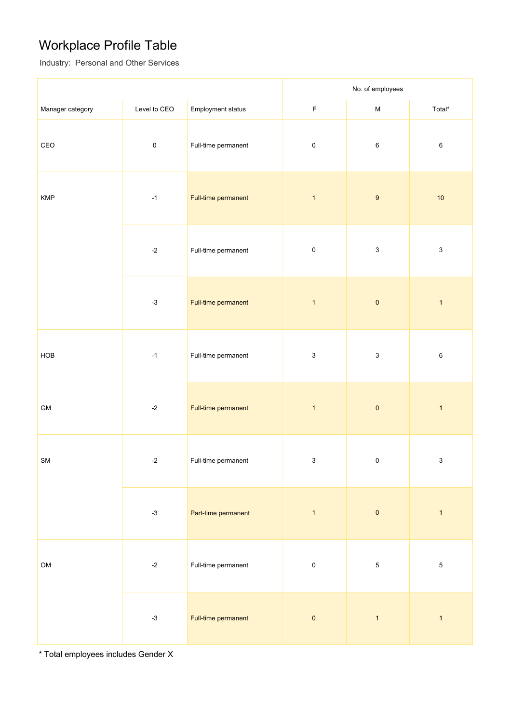## Workplace Profile Table

Industry: Personal and Other Services

|                                                                           |                                      |                     |                           | No. of employees          |                           |
|---------------------------------------------------------------------------|--------------------------------------|---------------------|---------------------------|---------------------------|---------------------------|
| Manager category                                                          | Level to CEO                         | Employment status   | $\mathsf F$               | ${\sf M}$                 | Total*                    |
| $\mathsf{CEO}% \left( \mathcal{N}\right) \equiv\mathsf{Geo}(\mathcal{N})$ | $\pmb{0}$                            | Full-time permanent | $\pmb{0}$                 | $\,6\,$                   | $\,6$                     |
| <b>KMP</b>                                                                | $-1$                                 | Full-time permanent | $\mathbf{1}$              | $\boldsymbol{9}$          | $10$                      |
|                                                                           | Full-time permanent<br>$\textbf{-2}$ |                     | $\pmb{0}$                 | $\mathsf 3$               | $\ensuremath{\mathsf{3}}$ |
|                                                                           | $-3$                                 | Full-time permanent | $\mathbf{1}$              | $\pmb{0}$                 | $\mathbf{1}$              |
| HOB                                                                       | $-1$                                 | Full-time permanent | $\ensuremath{\mathsf{3}}$ | $\ensuremath{\mathsf{3}}$ | 6                         |
| ${\sf GM}$                                                                | $\textnormal{-}2$                    | Full-time permanent | $\mathbf{1}$              | $\pmb{0}$                 | $\mathbf{1}$              |
| SM                                                                        | $\textnormal{-}2$                    | Full-time permanent | $\ensuremath{\mathsf{3}}$ | $\pmb{0}$                 | $\mathbf 3$               |
|                                                                           | $-3$                                 | Part-time permanent | $\overline{1}$            | $\pmb{0}$                 | $\mathbf{1}$              |
| OM                                                                        | $-2$                                 | Full-time permanent | $\pmb{0}$                 | $\sqrt{5}$                | $\sqrt{5}$                |
|                                                                           | $-3$                                 | Full-time permanent | $\pmb{0}$                 | $\mathbf{1}$              | $\mathbf{1}$              |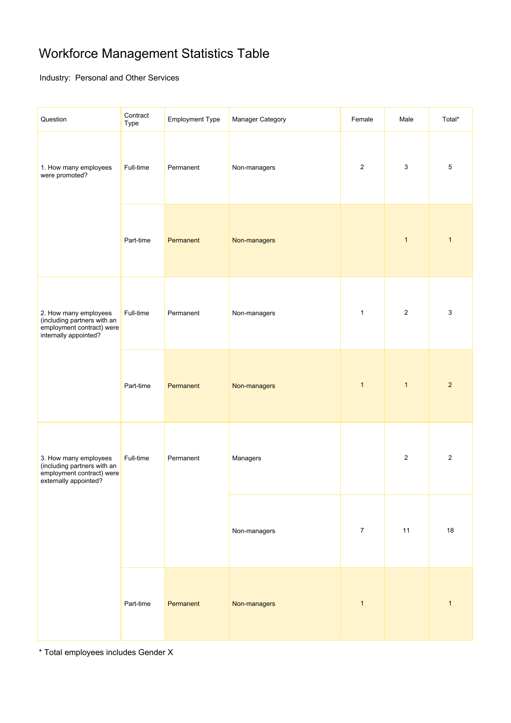## Workforce Management Statistics Table

Industry: Personal and Other Services

| Question                                                                                                   | Contract<br>Type | <b>Employment Type</b> | Manager Category | Female         | Male           | Total*         |
|------------------------------------------------------------------------------------------------------------|------------------|------------------------|------------------|----------------|----------------|----------------|
| 1. How many employees<br>were promoted?                                                                    | Full-time        | Permanent              | Non-managers     | $\overline{2}$ | 3              | $\,$ 5 $\,$    |
|                                                                                                            | Part-time        | Permanent              | Non-managers     |                | $\mathbf{1}$   | $\mathbf{1}$   |
| 2. How many employees<br>(including partners with an<br>employment contract) were<br>internally appointed? | Full-time        | Permanent              | Non-managers     | $\mathbf{1}$   | $\overline{c}$ | $\mathbf{3}$   |
|                                                                                                            | Part-time        | Permanent              | Non-managers     | $\mathbf{1}$   | $\mathbf{1}$   | $\overline{2}$ |
| 3. How many employees<br>(including partners with an<br>employment contract) were<br>externally appointed? | Full-time        | Permanent              | Managers         |                | $\overline{c}$ | $\overline{2}$ |
|                                                                                                            |                  |                        | Non-managers     | $\overline{7}$ | 11             | 18             |
|                                                                                                            | Part-time        | Permanent              | Non-managers     | $\mathbf{1}$   |                | $\mathbf{1}$   |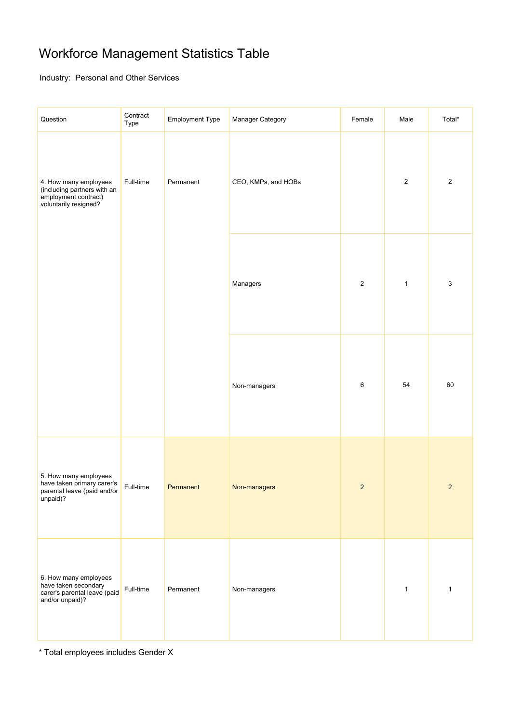## Workforce Management Statistics Table

Industry: Personal and Other Services

| Question                                                                                              | Contract<br>Type | <b>Employment Type</b> | Manager Category    | Female         | Male         | Total*         |
|-------------------------------------------------------------------------------------------------------|------------------|------------------------|---------------------|----------------|--------------|----------------|
| 4. How many employees<br>(including partners with an<br>employment contract)<br>voluntarily resigned? | Full-time        | Permanent              | CEO, KMPs, and HOBs |                | $\mathbf 2$  | $\sqrt{2}$     |
|                                                                                                       |                  | Managers               | $\sqrt{2}$          | $\mathbf{1}$   | $\mathsf 3$  |                |
|                                                                                                       |                  |                        | Non-managers        | 6              | 54           | 60             |
| 5. How many employees<br>have taken primary carer's<br>parental leave (paid and/or<br>unpaid)?        | Full-time        | Permanent              | Non-managers        | $\overline{c}$ |              | $\overline{2}$ |
| 6. How many employees<br>have taken secondary<br>carer's parental leave (paid<br>and/or unpaid)?      | Full-time        | Permanent              | Non-managers        |                | $\mathbf{1}$ | $\mathbf{1}$   |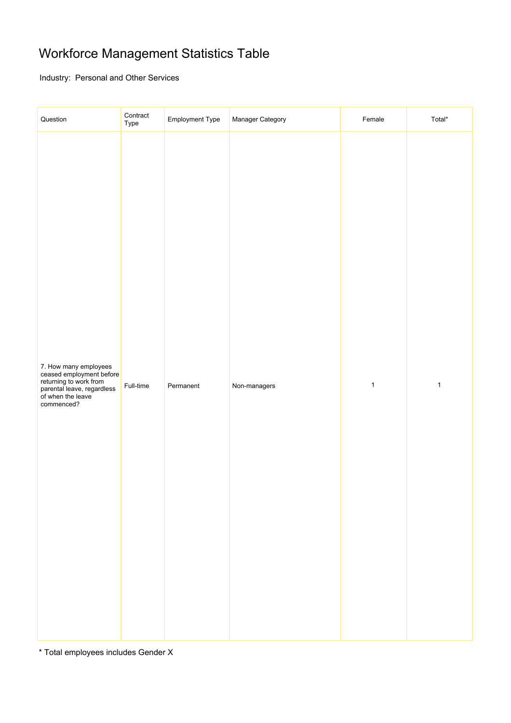## Workforce Management Statistics Table

Industry: Personal and Other Services

| Question                                                                                                                                     | Contract<br>Type | Employment Type | Manager Category | Female       | Total*       |
|----------------------------------------------------------------------------------------------------------------------------------------------|------------------|-----------------|------------------|--------------|--------------|
| 7. How many employees<br>ceased employment before<br>returning to work from<br>parental leave, regardless<br>of when the leave<br>commenced? | Full-time        | Permanent       | Non-managers     | $\mathbf{1}$ | $\mathbf{1}$ |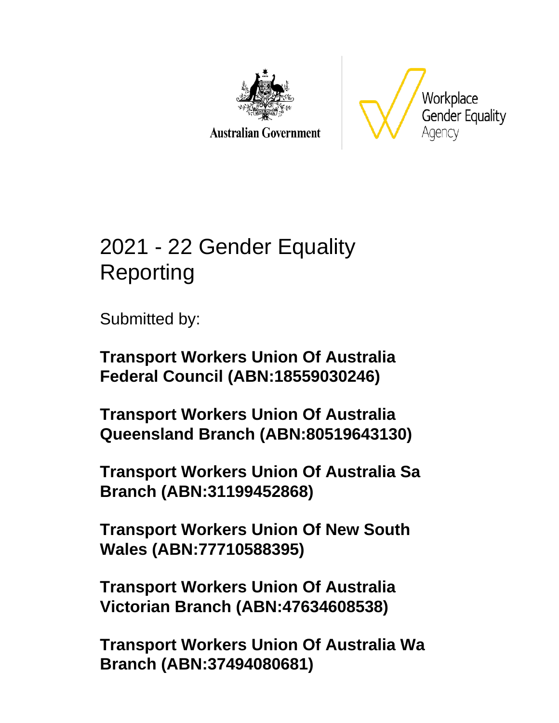

**Australian Government** 



# 2021 - 22 Gender Equality Reporting

Submitted by:

**Transport Workers Union Of Australia Federal Council (ABN:18559030246)**

**Transport Workers Union Of Australia Queensland Branch (ABN:80519643130)**

**Transport Workers Union Of Australia Sa Branch (ABN:31199452868)**

**Transport Workers Union Of New South Wales (ABN:77710588395)**

**Transport Workers Union Of Australia Victorian Branch (ABN:47634608538)**

**Transport Workers Union Of Australia Wa Branch (ABN:37494080681)**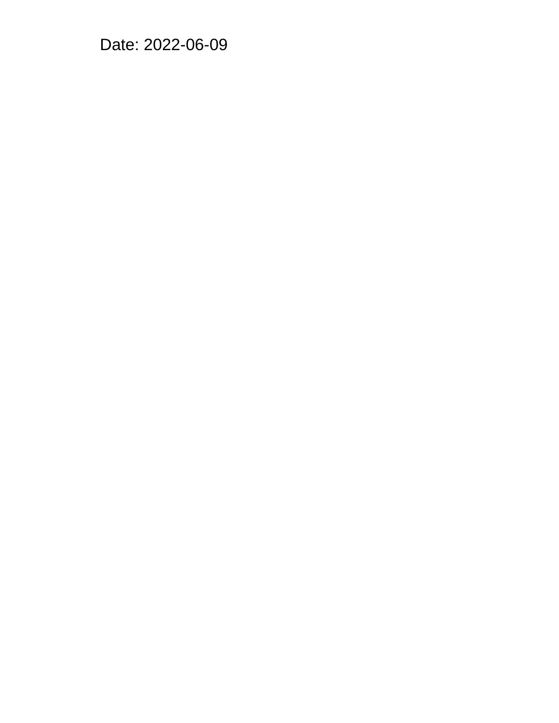Date: 2022-06-09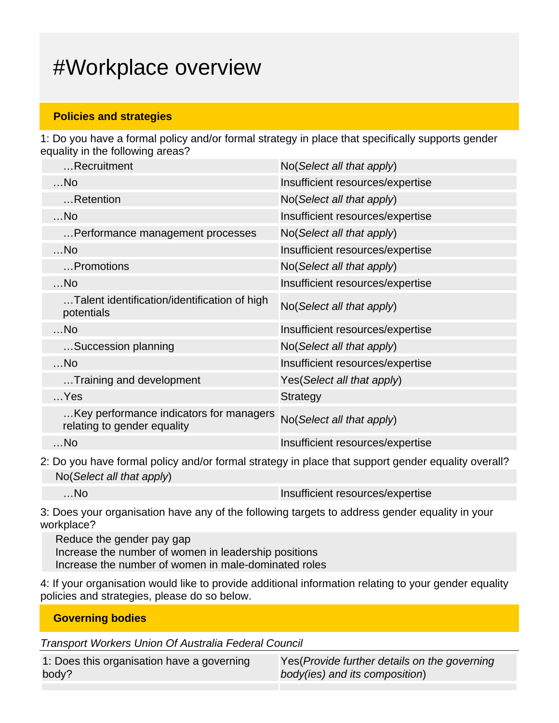# #Workplace overview

#### **Policies and strategies**

1: Do you have a formal policy and/or formal strategy in place that specifically supports gender equality in the following areas?

| Recruitment                                                            | No(Select all that apply)        |
|------------------------------------------------------------------------|----------------------------------|
| $$ No                                                                  | Insufficient resources/expertise |
| Retention                                                              | No(Select all that apply)        |
| $$ No                                                                  | Insufficient resources/expertise |
| Performance management processes                                       | No (Select all that apply)       |
| $$ No                                                                  | Insufficient resources/expertise |
| Promotions                                                             | No(Select all that apply)        |
| $$ No                                                                  | Insufficient resources/expertise |
| Talent identification/identification of high<br>potentials             | No(Select all that apply)        |
| $$ No                                                                  | Insufficient resources/expertise |
| Succession planning                                                    | No(Select all that apply)        |
| $$ No                                                                  | Insufficient resources/expertise |
| Training and development                                               | Yes(Select all that apply)       |
| $$ Yes                                                                 | <b>Strategy</b>                  |
| Key performance indicators for managers<br>relating to gender equality | No(Select all that apply)        |
| $$ No                                                                  | Insufficient resources/expertise |

2: Do you have formal policy and/or formal strategy in place that support gender equality overall? No(Select all that apply)

...No Insufficient resources/expertise

3: Does your organisation have any of the following targets to address gender equality in your workplace?

Reduce the gender pay gap Increase the number of women in leadership positions Increase the number of women in male-dominated roles

4: If your organisation would like to provide additional information relating to your gender equality policies and strategies, please do so below.

**Governing bodies**

Transport Workers Union Of Australia Federal Council

| 1: Does this organisation have a governing |  |
|--------------------------------------------|--|
| body?                                      |  |

Yes(Provide further details on the governing body(ies) and its composition)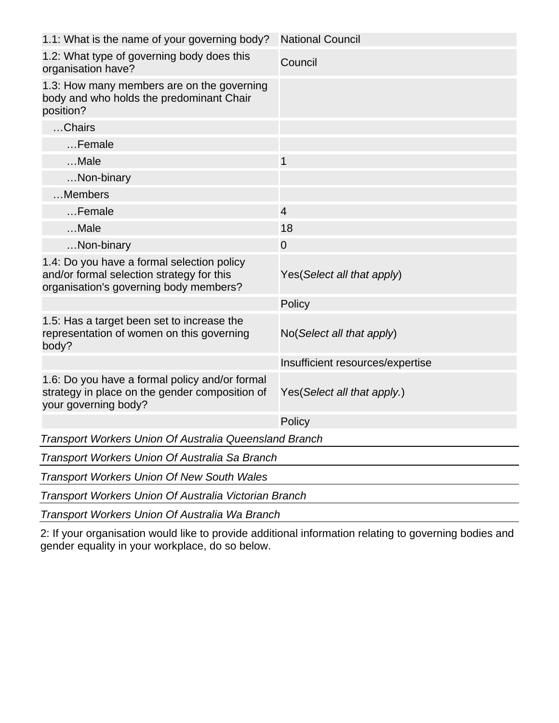| 1.1: What is the name of your governing body?                                                                                     | <b>National Council</b>          |  |  |  |
|-----------------------------------------------------------------------------------------------------------------------------------|----------------------------------|--|--|--|
| 1.2: What type of governing body does this<br>organisation have?                                                                  | Council                          |  |  |  |
| 1.3: How many members are on the governing<br>body and who holds the predominant Chair<br>position?                               |                                  |  |  |  |
| Chairs                                                                                                                            |                                  |  |  |  |
| Female                                                                                                                            |                                  |  |  |  |
| Male                                                                                                                              | 1                                |  |  |  |
| Non-binary                                                                                                                        |                                  |  |  |  |
| Members                                                                                                                           |                                  |  |  |  |
| Female                                                                                                                            | $\overline{4}$                   |  |  |  |
| Male                                                                                                                              | 18                               |  |  |  |
| Non-binary                                                                                                                        | $\overline{0}$                   |  |  |  |
| 1.4: Do you have a formal selection policy<br>and/or formal selection strategy for this<br>organisation's governing body members? | Yes (Select all that apply)      |  |  |  |
|                                                                                                                                   | Policy                           |  |  |  |
| 1.5: Has a target been set to increase the<br>representation of women on this governing<br>body?                                  | No(Select all that apply)        |  |  |  |
|                                                                                                                                   | Insufficient resources/expertise |  |  |  |
| 1.6: Do you have a formal policy and/or formal<br>strategy in place on the gender composition of<br>your governing body?          | Yes (Select all that apply.)     |  |  |  |
|                                                                                                                                   | Policy                           |  |  |  |
| Transport Workers Union Of Australia Queensland Branch                                                                            |                                  |  |  |  |
| Transport Workers Union Of Australia Sa Branch                                                                                    |                                  |  |  |  |
| <b>Transport Workers Union Of New South Wales</b>                                                                                 |                                  |  |  |  |
| Transport Workers Union Of Australia Victorian Branch                                                                             |                                  |  |  |  |
| Transport Workers Union Of Australia Wa Branch                                                                                    |                                  |  |  |  |

2: If your organisation would like to provide additional information relating to governing bodies and gender equality in your workplace, do so below.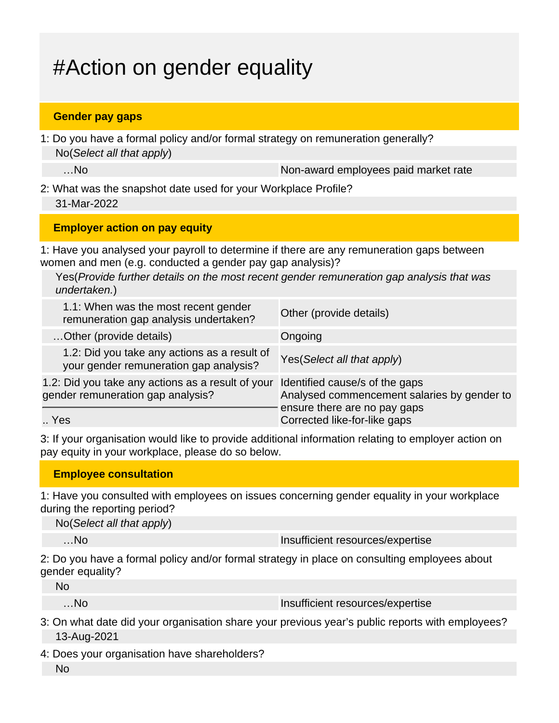# #Action on gender equality

#### **Gender pay gaps**

1: Do you have a formal policy and/or formal strategy on remuneration generally? No(Select all that apply)

...No and the non-award employees paid market rate

2: What was the snapshot date used for your Workplace Profile? 31-Mar-2022

#### **Employer action on pay equity**

1: Have you analysed your payroll to determine if there are any remuneration gaps between women and men (e.g. conducted a gender pay gap analysis)?

Yes(Provide further details on the most recent gender remuneration gap analysis that was undertaken.)

| 1.1: When was the most recent gender<br>remuneration gap analysis undertaken?          | Other (provide details)                                                                                       |
|----------------------------------------------------------------------------------------|---------------------------------------------------------------------------------------------------------------|
| Other (provide details)                                                                | Ongoing                                                                                                       |
| 1.2: Did you take any actions as a result of<br>your gender remuneration gap analysis? | Yes (Select all that apply)                                                                                   |
| 1.2: Did you take any actions as a result of your<br>gender remuneration gap analysis? | Identified cause/s of the gaps<br>Analysed commencement salaries by gender to<br>ensure there are no pay gaps |
| Yes                                                                                    | Corrected like-for-like gaps                                                                                  |

3: If your organisation would like to provide additional information relating to employer action on pay equity in your workplace, please do so below.

#### **Employee consultation**

1: Have you consulted with employees on issues concerning gender equality in your workplace during the reporting period?

No(Select all that apply)

…No Insufficient resources/expertise

2: Do you have a formal policy and/or formal strategy in place on consulting employees about gender equality?

…No Insufficient resources/expertise

- 3: On what date did your organisation share your previous year's public reports with employees? 13-Aug-2021
- 4: Does your organisation have shareholders?
	- No

No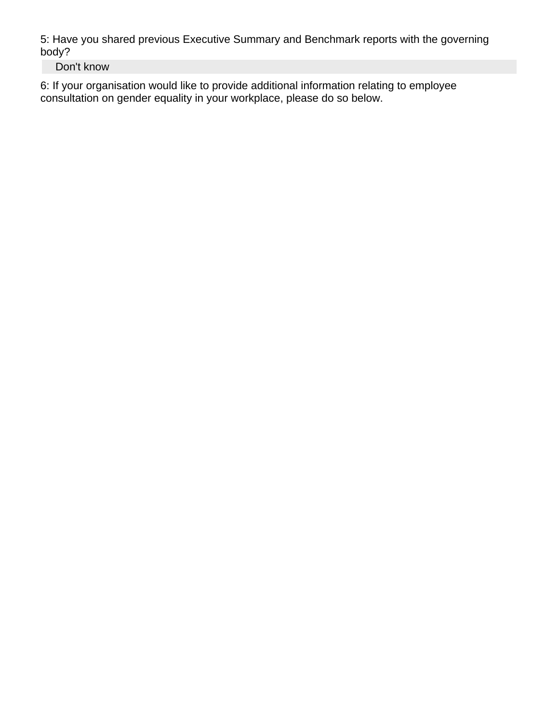5: Have you shared previous Executive Summary and Benchmark reports with the governing body?

Don't know

6: If your organisation would like to provide additional information relating to employee consultation on gender equality in your workplace, please do so below.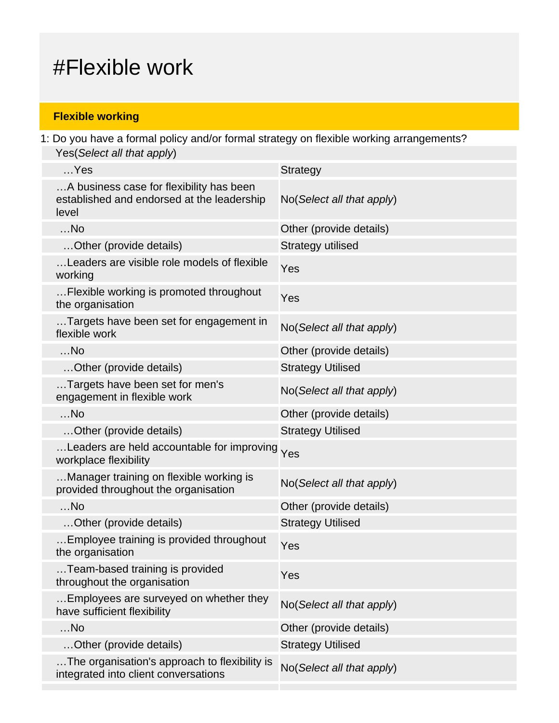## #Flexible work

#### **Flexible working**

1: Do you have a formal policy and/or formal strategy on flexible working arrangements? Yes(Select all that apply)

| $$ Yes                                                                                          | <b>Strategy</b>           |
|-------------------------------------------------------------------------------------------------|---------------------------|
| A business case for flexibility has been<br>established and endorsed at the leadership<br>level | No(Select all that apply) |
| $$ No                                                                                           | Other (provide details)   |
| Other (provide details)                                                                         | Strategy utilised         |
| Leaders are visible role models of flexible<br>working                                          | Yes                       |
| Flexible working is promoted throughout<br>the organisation                                     | Yes                       |
| Targets have been set for engagement in<br>flexible work                                        | No(Select all that apply) |
| $$ No                                                                                           | Other (provide details)   |
| Other (provide details)                                                                         | <b>Strategy Utilised</b>  |
| Targets have been set for men's<br>engagement in flexible work                                  | No(Select all that apply) |
| $$ No                                                                                           | Other (provide details)   |
| Other (provide details)                                                                         | <b>Strategy Utilised</b>  |
| Leaders are held accountable for improving Yes<br>workplace flexibility                         |                           |
| Manager training on flexible working is<br>provided throughout the organisation                 | No(Select all that apply) |
| $$ No                                                                                           | Other (provide details)   |
| Other (provide details)                                                                         | <b>Strategy Utilised</b>  |
| Employee training is provided throughout<br>the organisation                                    | Yes                       |
| Team-based training is provided<br>throughout the organisation                                  | Yes                       |
| Employees are surveyed on whether they<br>have sufficient flexibility                           | No(Select all that apply) |
| $$ No                                                                                           | Other (provide details)   |
| Other (provide details)                                                                         | <b>Strategy Utilised</b>  |
| The organisation's approach to flexibility is<br>integrated into client conversations           | No(Select all that apply) |
|                                                                                                 |                           |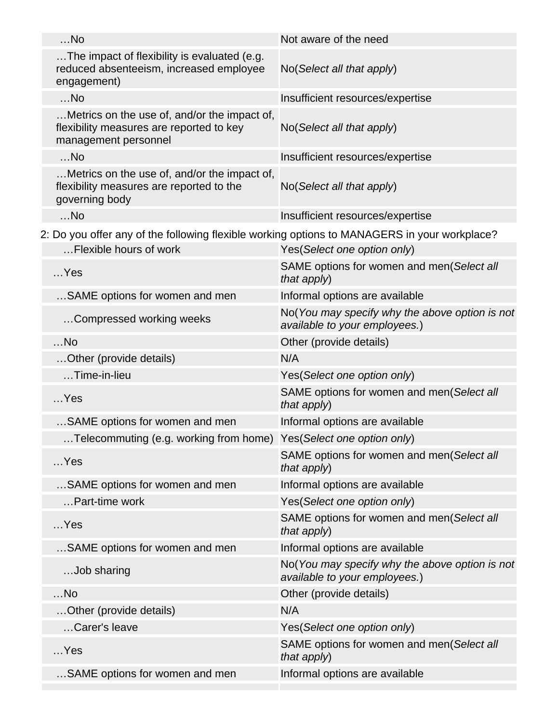| $$ No                                                                                                            | Not aware of the need                                                           |
|------------------------------------------------------------------------------------------------------------------|---------------------------------------------------------------------------------|
| The impact of flexibility is evaluated (e.g.<br>reduced absenteeism, increased employee<br>engagement)           | No(Select all that apply)                                                       |
| $$ No                                                                                                            | Insufficient resources/expertise                                                |
| Metrics on the use of, and/or the impact of,<br>flexibility measures are reported to key<br>management personnel | No(Select all that apply)                                                       |
| $$ No                                                                                                            | Insufficient resources/expertise                                                |
| Metrics on the use of, and/or the impact of,<br>flexibility measures are reported to the<br>governing body       | No(Select all that apply)                                                       |
| $$ No                                                                                                            | Insufficient resources/expertise                                                |
| 2: Do you offer any of the following flexible working options to MANAGERS in your workplace?                     |                                                                                 |
| Flexible hours of work                                                                                           | Yes(Select one option only)                                                     |
| $$ Yes                                                                                                           | SAME options for women and men(Select all<br>that apply)                        |
| SAME options for women and men                                                                                   | Informal options are available                                                  |
| Compressed working weeks                                                                                         | No(You may specify why the above option is not<br>available to your employees.) |
| $$ No                                                                                                            | Other (provide details)                                                         |
| Other (provide details)                                                                                          | N/A                                                                             |
| Time-in-lieu                                                                                                     | Yes(Select one option only)                                                     |
| $$ Yes                                                                                                           | SAME options for women and men(Select all<br>that apply)                        |
| SAME options for women and men                                                                                   | Informal options are available                                                  |
| .Telecommuting (e.g. working from home)                                                                          | Yes(Select one option only)                                                     |
| $$ Yes                                                                                                           | SAME options for women and men(Select all<br>that apply)                        |
| SAME options for women and men                                                                                   | Informal options are available                                                  |
| Part-time work                                                                                                   | Yes(Select one option only)                                                     |
| $$ Yes                                                                                                           | SAME options for women and men(Select all<br>that apply)                        |
| SAME options for women and men                                                                                   | Informal options are available                                                  |
| Job sharing                                                                                                      | No(You may specify why the above option is not<br>available to your employees.) |
| $$ No                                                                                                            | Other (provide details)                                                         |
| Other (provide details)                                                                                          | N/A                                                                             |
| Carer's leave                                                                                                    | Yes(Select one option only)                                                     |
| $$ Yes                                                                                                           | SAME options for women and men(Select all<br>that apply)                        |
| SAME options for women and men                                                                                   | Informal options are available                                                  |
|                                                                                                                  |                                                                                 |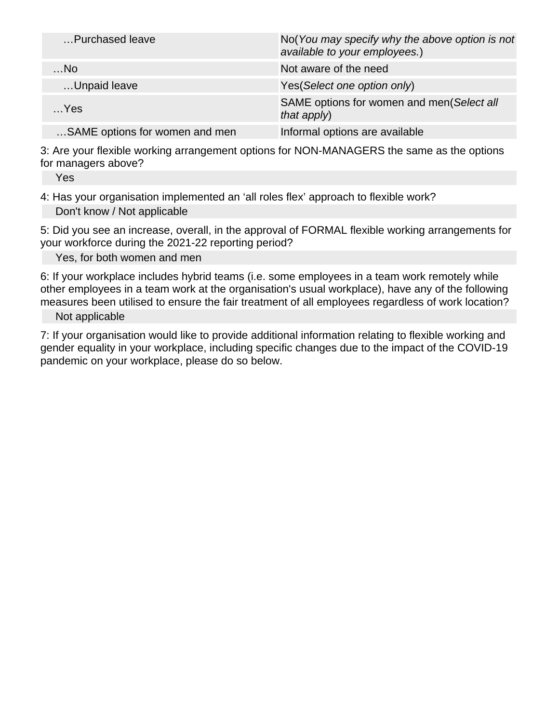| Purchased leave                | No(You may specify why the above option is not<br>available to your employees.) |
|--------------------------------|---------------------------------------------------------------------------------|
| $$ No                          | Not aware of the need                                                           |
| Unpaid leave                   | Yes (Select one option only)                                                    |
| $$ Yes                         | SAME options for women and men(Select all<br>that apply)                        |
| SAME options for women and men | Informal options are available                                                  |

3: Are your flexible working arrangement options for NON-MANAGERS the same as the options for managers above?

Yes

4: Has your organisation implemented an 'all roles flex' approach to flexible work? Don't know / Not applicable

5: Did you see an increase, overall, in the approval of FORMAL flexible working arrangements for your workforce during the 2021-22 reporting period?

Yes, for both women and men

6: If your workplace includes hybrid teams (i.e. some employees in a team work remotely while other employees in a team work at the organisation's usual workplace), have any of the following measures been utilised to ensure the fair treatment of all employees regardless of work location?

Not applicable

7: If your organisation would like to provide additional information relating to flexible working and gender equality in your workplace, including specific changes due to the impact of the COVID-19 pandemic on your workplace, please do so below.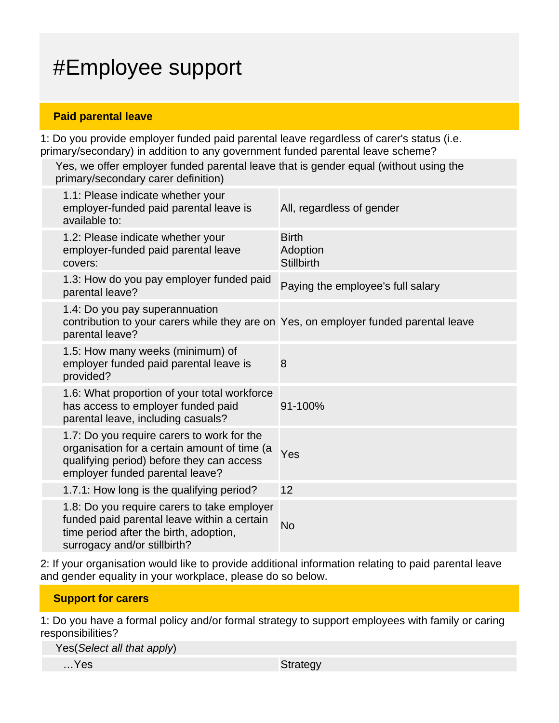# #Employee support

#### **Paid parental leave**

1: Do you provide employer funded paid parental leave regardless of carer's status (i.e. primary/secondary) in addition to any government funded parental leave scheme?

Yes, we offer employer funded parental leave that is gender equal (without using the primary/secondary carer definition)

| 1.1: Please indicate whether your<br>employer-funded paid parental leave is<br>available to:                                                                               | All, regardless of gender                     |
|----------------------------------------------------------------------------------------------------------------------------------------------------------------------------|-----------------------------------------------|
| 1.2: Please indicate whether your<br>employer-funded paid parental leave<br>covers:                                                                                        | <b>Birth</b><br>Adoption<br><b>Stillbirth</b> |
| 1.3: How do you pay employer funded paid<br>parental leave?                                                                                                                | Paying the employee's full salary             |
| 1.4: Do you pay superannuation<br>contribution to your carers while they are on Yes, on employer funded parental leave<br>parental leave?                                  |                                               |
| 1.5: How many weeks (minimum) of<br>employer funded paid parental leave is<br>provided?                                                                                    | 8                                             |
| 1.6: What proportion of your total workforce<br>has access to employer funded paid<br>parental leave, including casuals?                                                   | 91-100%                                       |
| 1.7: Do you require carers to work for the<br>organisation for a certain amount of time (a<br>qualifying period) before they can access<br>employer funded parental leave? | Yes                                           |
| 1.7.1: How long is the qualifying period?                                                                                                                                  | 12                                            |
| 1.8: Do you require carers to take employer<br>funded paid parental leave within a certain<br>time period after the birth, adoption,<br>surrogacy and/or stillbirth?       | <b>No</b>                                     |

2: If your organisation would like to provide additional information relating to paid parental leave and gender equality in your workplace, please do so below.

#### **Support for carers**

1: Do you have a formal policy and/or formal strategy to support employees with family or caring responsibilities?

Yes(Select all that apply)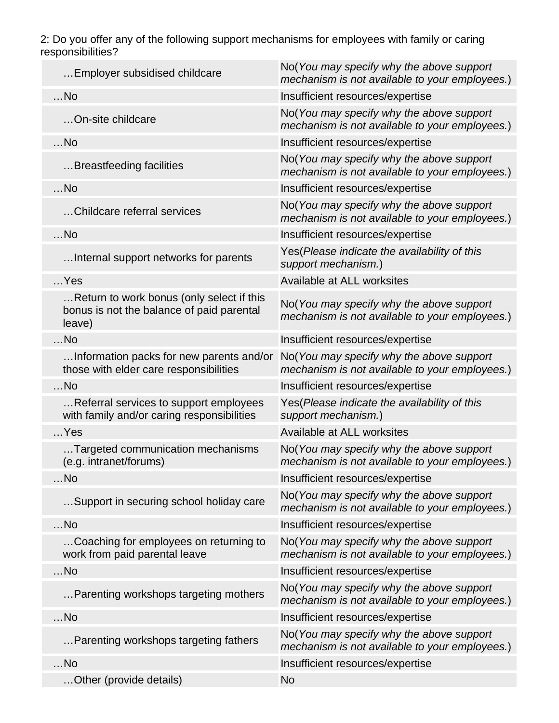2: Do you offer any of the following support mechanisms for employees with family or caring responsibilities?

| Employer subsidised childcare                                                                    | No(You may specify why the above support<br>mechanism is not available to your employees.) |
|--------------------------------------------------------------------------------------------------|--------------------------------------------------------------------------------------------|
| $$ No                                                                                            | Insufficient resources/expertise                                                           |
| On-site childcare                                                                                | No(You may specify why the above support<br>mechanism is not available to your employees.) |
| $$ No                                                                                            | Insufficient resources/expertise                                                           |
| Breastfeeding facilities                                                                         | No(You may specify why the above support<br>mechanism is not available to your employees.) |
| $$ No                                                                                            | Insufficient resources/expertise                                                           |
| Childcare referral services                                                                      | No(You may specify why the above support<br>mechanism is not available to your employees.) |
| $$ No                                                                                            | Insufficient resources/expertise                                                           |
| Internal support networks for parents                                                            | Yes (Please indicate the availability of this<br>support mechanism.)                       |
| $$ Yes                                                                                           | Available at ALL worksites                                                                 |
| Return to work bonus (only select if this<br>bonus is not the balance of paid parental<br>leave) | No(You may specify why the above support<br>mechanism is not available to your employees.) |
| $$ No                                                                                            | Insufficient resources/expertise                                                           |
| Information packs for new parents and/or<br>those with elder care responsibilities               | No(You may specify why the above support<br>mechanism is not available to your employees.) |
| $$ No                                                                                            | Insufficient resources/expertise                                                           |
| Referral services to support employees<br>with family and/or caring responsibilities             | Yes (Please indicate the availability of this<br>support mechanism.)                       |
| $$ Yes                                                                                           | Available at ALL worksites                                                                 |
| Targeted communication mechanisms<br>(e.g. intranet/forums)                                      | No(You may specify why the above support<br>mechanism is not available to your employees.) |
| No                                                                                               | Insufficient resources/expertise                                                           |
| Support in securing school holiday care                                                          | No(You may specify why the above support<br>mechanism is not available to your employees.) |
| $$ No                                                                                            | Insufficient resources/expertise                                                           |
| Coaching for employees on returning to<br>work from paid parental leave                          | No(You may specify why the above support<br>mechanism is not available to your employees.) |
| No                                                                                               | Insufficient resources/expertise                                                           |
| Parenting workshops targeting mothers                                                            | No(You may specify why the above support<br>mechanism is not available to your employees.) |
| $$ No                                                                                            | Insufficient resources/expertise                                                           |
| Parenting workshops targeting fathers                                                            | No(You may specify why the above support<br>mechanism is not available to your employees.) |
| $$ No                                                                                            | Insufficient resources/expertise                                                           |
| Other (provide details)                                                                          | <b>No</b>                                                                                  |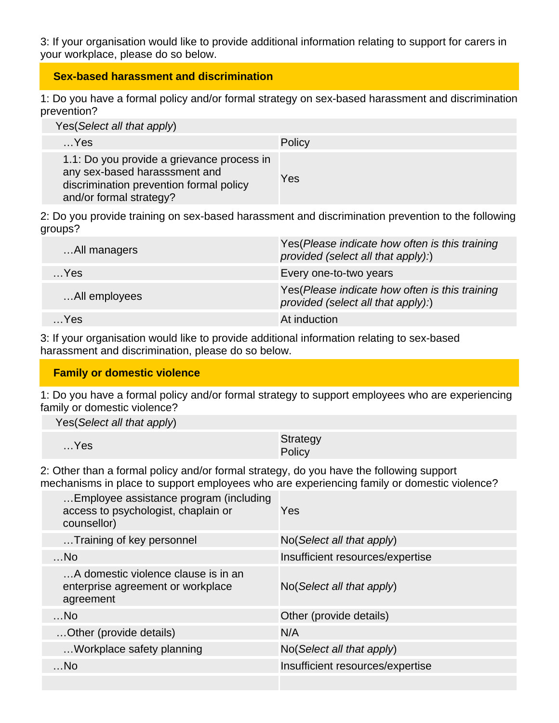3: If your organisation would like to provide additional information relating to support for carers in your workplace, please do so below.

#### **Sex-based harassment and discrimination**

1: Do you have a formal policy and/or formal strategy on sex-based harassment and discrimination prevention?

| Yes (Select all that apply)                                                                                                                       |        |  |
|---------------------------------------------------------------------------------------------------------------------------------------------------|--------|--|
| $$ Yes                                                                                                                                            | Policy |  |
| 1.1: Do you provide a grievance process in<br>any sex-based harasssment and<br>discrimination prevention formal policy<br>and/or formal strategy? | Yes    |  |

2: Do you provide training on sex-based harassment and discrimination prevention to the following groups?

| All managers  | Yes (Please indicate how often is this training<br>provided (select all that apply):) |
|---------------|---------------------------------------------------------------------------------------|
| $$ Yes        | Every one-to-two years                                                                |
| All employees | Yes(Please indicate how often is this training<br>provided (select all that apply):)  |
| …Yes.         | At induction                                                                          |

3: If your organisation would like to provide additional information relating to sex-based harassment and discrimination, please do so below.

#### **Family or domestic violence**

1: Do you have a formal policy and/or formal strategy to support employees who are experiencing family or domestic violence?

Yes(Select all that apply)

| $$ Yes | Strategy |
|--------|----------|
|        | Policy   |

2: Other than a formal policy and/or formal strategy, do you have the following support mechanisms in place to support employees who are experiencing family or domestic violence?

| Employee assistance program (including<br>access to psychologist, chaplain or<br>counsellor) | Yes                              |
|----------------------------------------------------------------------------------------------|----------------------------------|
| Training of key personnel                                                                    | No(Select all that apply)        |
| $$ No                                                                                        | Insufficient resources/expertise |
| A domestic violence clause is in an<br>enterprise agreement or workplace<br>agreement        | No(Select all that apply)        |
| $$ No                                                                                        | Other (provide details)          |
| Other (provide details)                                                                      | N/A                              |
| Workplace safety planning                                                                    | No(Select all that apply)        |
| $$ No                                                                                        | Insufficient resources/expertise |
|                                                                                              |                                  |